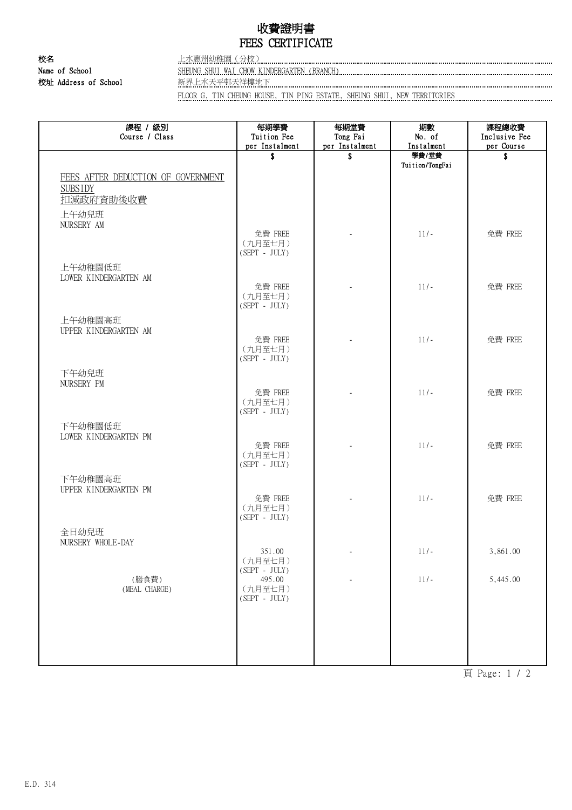## 收費證明書 FEES CERTIFICATE

校名 上水惠州幼稚園(分校)

Name of School SHEUNG SHUI WAI CHOW KINDERGARTEN (BRANCH) 校址 Address of School 新界上水天平邨天祥樓地下

FLOOR G, TIN CHEUNG HOUSE, TIN PING ESTATE, SHEUNG SHUI, NEW TERRITORIES

| 課程 / 級別<br>Course / Class                            | 每期學費<br>Tuition Fee        | 每期堂費<br>Tong Fai | 期數<br>No. of    | 課程總收費<br>Inclusive Fee |
|------------------------------------------------------|----------------------------|------------------|-----------------|------------------------|
|                                                      | per Instalment             | per Instalment   | Instalment      | per Course             |
|                                                      | \$                         | \$               | 學費/堂費           | \$                     |
|                                                      |                            |                  | Tuition/TongFai |                        |
| FEES AFTER DEDUCTION OF GOVERNMENT<br><b>SUBSIDY</b> |                            |                  |                 |                        |
| 扣減政府資助後收費                                            |                            |                  |                 |                        |
|                                                      |                            |                  |                 |                        |
| 上午幼兒班<br>NURSERY AM                                  |                            |                  |                 |                        |
|                                                      | 免費 FREE                    |                  | $11/-$          | 免費 FREE                |
|                                                      | (九月至七月)                    |                  |                 |                        |
|                                                      | $(SEPT - JULY)$            |                  |                 |                        |
| 上午幼稚園低班                                              |                            |                  |                 |                        |
| LOWER KINDERGARTEN AM                                | 免費 FREE                    |                  | $11/-$          | 免費 FREE                |
|                                                      | (九月至七月)                    |                  |                 |                        |
|                                                      | $(SEPT - JULY)$            |                  |                 |                        |
| 上午幼稚園高班                                              |                            |                  |                 |                        |
| UPPER KINDERGARTEN AM                                |                            |                  |                 |                        |
|                                                      | 免費 FREE<br>(九月至七月)         |                  | $11/-$          | 免費 FREE                |
|                                                      | $(SEPT - JULY)$            |                  |                 |                        |
| 下午幼兒班                                                |                            |                  |                 |                        |
| NURSERY PM                                           |                            |                  |                 |                        |
|                                                      | 免費 FREE                    |                  | $11/-$          | 免費 FREE                |
|                                                      | (九月至七月)                    |                  |                 |                        |
|                                                      | $(SEPT - JULY)$            |                  |                 |                        |
| 下午幼稚園低班                                              |                            |                  |                 |                        |
| LOWER KINDERGARTEN PM                                | 免費 FREE                    |                  | $11/-$          | 免費 FREE                |
|                                                      | (九月至七月)                    |                  |                 |                        |
|                                                      | $(SEPT - JULY)$            |                  |                 |                        |
| 下午幼稚園高班                                              |                            |                  |                 |                        |
| UPPER KINDERGARTEN PM                                | 免費 FREE                    |                  | $11/-$          | 免費 FREE                |
|                                                      | (九月至七月)                    |                  |                 |                        |
|                                                      | $(SEPT - JULY)$            |                  |                 |                        |
| 全日幼兒班                                                |                            |                  |                 |                        |
| NURSERY WHOLE-DAY                                    |                            |                  |                 |                        |
|                                                      | 351.00<br>(九月至七月)          |                  | $11/-$          | 3,861.00               |
|                                                      | $(SEPT - JULY)$            |                  |                 |                        |
| (膳食費)                                                | 495.00                     |                  | $11/-$          | 5,445.00               |
| (MEAL CHARGE)                                        | (九月至七月)<br>$(SEPT - JULY)$ |                  |                 |                        |
|                                                      |                            |                  |                 |                        |
|                                                      |                            |                  |                 |                        |
|                                                      |                            |                  |                 |                        |
|                                                      |                            |                  |                 |                        |
|                                                      |                            |                  |                 |                        |

頁 Page: 1 / 2